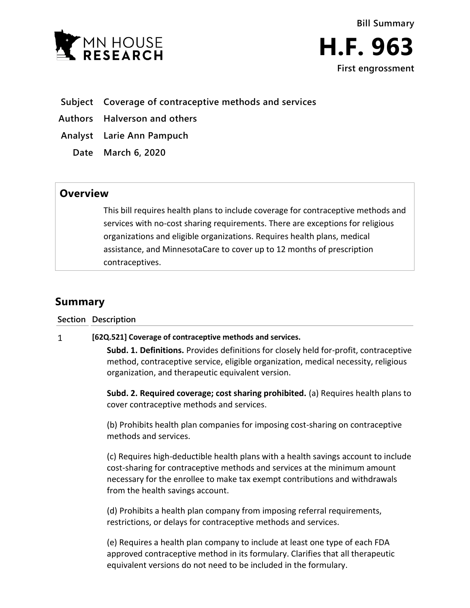



- **Subject Coverage of contraceptive methods and services**
- **Authors Halverson and others**
- **Analyst Larie Ann Pampuch**
	- **Date March 6, 2020**

# **Overview**

This bill requires health plans to include coverage for contraceptive methods and services with no-cost sharing requirements. There are exceptions for religious organizations and eligible organizations. Requires health plans, medical assistance, and MinnesotaCare to cover up to 12 months of prescription contraceptives.

# **Summary**

**Section Description**

#### $\mathbf{1}$ **[62Q.521] Coverage of contraceptive methods and services.**

**Subd. 1. Definitions.** Provides definitions for closely held for-profit, contraceptive method, contraceptive service, eligible organization, medical necessity, religious organization, and therapeutic equivalent version.

**Subd. 2. Required coverage; cost sharing prohibited.** (a) Requires health plans to cover contraceptive methods and services.

(b) Prohibits health plan companies for imposing cost-sharing on contraceptive methods and services.

(c) Requires high-deductible health plans with a health savings account to include cost-sharing for contraceptive methods and services at the minimum amount necessary for the enrollee to make tax exempt contributions and withdrawals from the health savings account.

(d) Prohibits a health plan company from imposing referral requirements, restrictions, or delays for contraceptive methods and services.

(e) Requires a health plan company to include at least one type of each FDA approved contraceptive method in its formulary. Clarifies that all therapeutic equivalent versions do not need to be included in the formulary.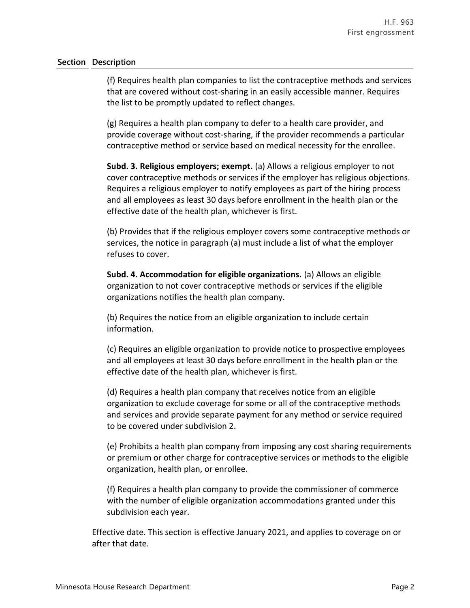### **Section Description**

(f) Requires health plan companies to list the contraceptive methods and services that are covered without cost-sharing in an easily accessible manner. Requires the list to be promptly updated to reflect changes.

(g) Requires a health plan company to defer to a health care provider, and provide coverage without cost-sharing, if the provider recommends a particular contraceptive method or service based on medical necessity for the enrollee.

**Subd. 3. Religious employers; exempt.** (a) Allows a religious employer to not cover contraceptive methods or services if the employer has religious objections. Requires a religious employer to notify employees as part of the hiring process and all employees as least 30 days before enrollment in the health plan or the effective date of the health plan, whichever is first.

(b) Provides that if the religious employer covers some contraceptive methods or services, the notice in paragraph (a) must include a list of what the employer refuses to cover.

**Subd. 4. Accommodation for eligible organizations.** (a) Allows an eligible organization to not cover contraceptive methods or services if the eligible organizations notifies the health plan company.

(b) Requires the notice from an eligible organization to include certain information.

(c) Requires an eligible organization to provide notice to prospective employees and all employees at least 30 days before enrollment in the health plan or the effective date of the health plan, whichever is first.

(d) Requires a health plan company that receives notice from an eligible organization to exclude coverage for some or all of the contraceptive methods and services and provide separate payment for any method or service required to be covered under subdivision 2.

(e) Prohibits a health plan company from imposing any cost sharing requirements or premium or other charge for contraceptive services or methods to the eligible organization, health plan, or enrollee.

(f) Requires a health plan company to provide the commissioner of commerce with the number of eligible organization accommodations granted under this subdivision each year.

Effective date. This section is effective January 2021, and applies to coverage on or after that date.